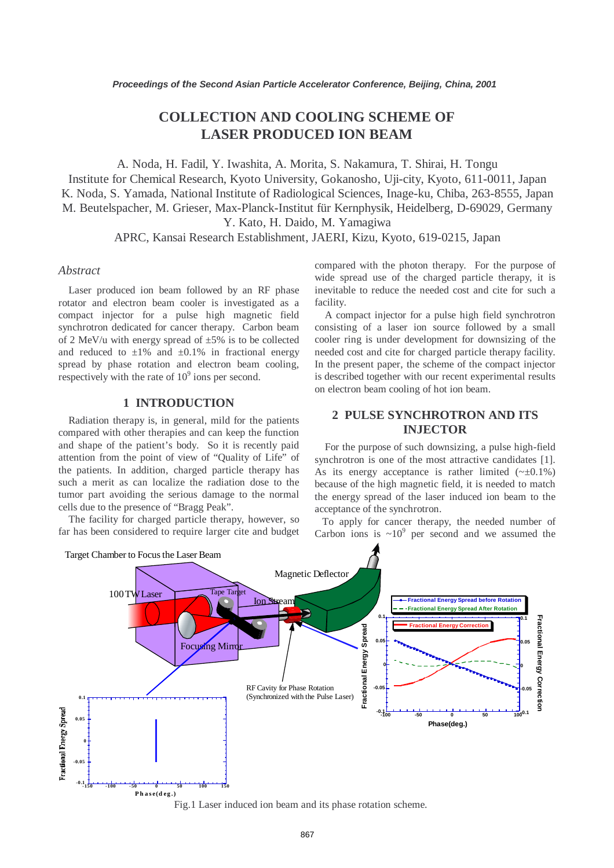# **COLLECTION AND COOLING SCHEME OF LASER PRODUCED ION BEAM**

A. Noda, H. Fadil, Y. Iwashita, A. Morita, S. Nakamura, T. Shirai, H. Tongu Institute for Chemical Research, Kyoto University, Gokanosho, Uji-city, Kyoto, 611-0011, Japan K. Noda, S. Yamada, National Institute of Radiological Sciences, Inage-ku, Chiba, 263-8555, Japan M. Beutelspacher, M. Grieser, Max-Planck-Institut für Kernphysik, Heidelberg, D-69029, Germany Y. Kato, H. Daido, M. Yamagiwa

APRC, Kansai Research Establishment, JAERI, Kizu, Kyoto, 619-0215, Japan

#### *Abstract*

Laser produced ion beam followed by an RF phase rotator and electron beam cooler is investigated as a compact injector for a pulse high magnetic field synchrotron dedicated for cancer therapy. Carbon beam of 2 MeV/u with energy spread of  $\pm 5\%$  is to be collected and reduced to  $\pm 1\%$  and  $\pm 0.1\%$  in fractional energy spread by phase rotation and electron beam cooling, respectively with the rate of  $10^9$  ions per second.

### **1 INTRODUCTION**

Radiation therapy is, in general, mild for the patients compared with other therapies and can keep the function and shape of the patient's body. So it is recently paid attention from the point of view of "Quality of Life" of the patients. In addition, charged particle therapy has such a merit as can localize the radiation dose to the tumor part avoiding the serious damage to the normal cells due to the presence of "Bragg Peak".

The facility for charged particle therapy, however, so far has been considered to require larger cite and budget compared with the photon therapy. For the purpose of wide spread use of the charged particle therapy, it is inevitable to reduce the needed cost and cite for such a facility.

A compact injector for a pulse high field synchrotron consisting of a laser ion source followed by a small cooler ring is under development for downsizing of the needed cost and cite for charged particle therapy facility. In the present paper, the scheme of the compact injector is described together with our recent experimental results on electron beam cooling of hot ion beam.

## **2 PULSE SYNCHROTRON AND ITS INJECTOR**

For the purpose of such downsizing, a pulse high-field synchrotron is one of the most attractive candidates [1]. As its energy acceptance is rather limited  $(\sim \pm 0.1\%)$ because of the high magnetic field, it is needed to match the energy spread of the laser induced ion beam to the acceptance of the synchrotron.

To apply for cancer therapy, the needed number of Carbon ions is  $\sim 10^9$  per second and we assumed the



Fig.1 Laser induced ion beam and its phase rotation scheme.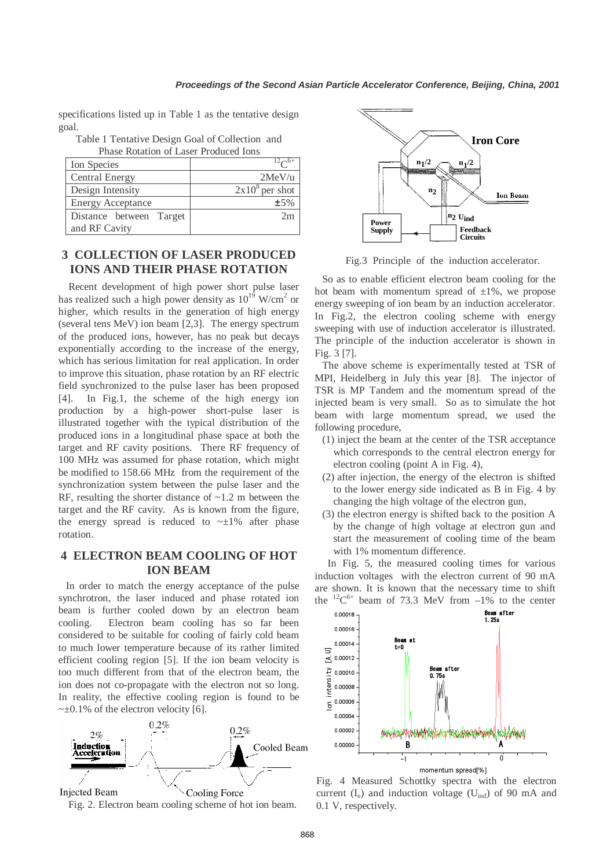specifications listed up in Table 1 as the tentative design goal.

Table 1 Tentative Design Goal of Collection and Phase Rotation of Laser Produced Ions

| Ion Species              |                  |
|--------------------------|------------------|
| <b>Central Energy</b>    | 2MeV/u           |
| Design Intensity         | $2x108$ per shot |
| <b>Energy Acceptance</b> | ±5%              |
| Distance between Target  | 2m               |
| and RF Cavity            |                  |

# **3 COLLECTION OF LASER PRODUCED IONS AND THEIR PHASE ROTATION**

Recent development of high power short pulse laser has realized such a high power density as  $10^{19}$  W/cm<sup>2</sup> or higher, which results in the generation of high energy (several tens MeV) ion beam [2,3]. The energy spectrum of the produced ions, however, has no peak but decays exponentially according to the increase of the energy, which has serious limitation for real application. In order to improve this situation, phase rotation by an RF electric field synchronized to the pulse laser has been proposed [4]. In Fig.1, the scheme of the high energy ion production by a high-power short-pulse laser is illustrated together with the typical distribution of the produced ions in a longitudinal phase space at both the target and RF cavity positions. There RF frequency of 100 MHz was assumed for phase rotation, which might be modified to 158.66 MHz from the requirement of the synchronization system between the pulse laser and the RF, resulting the shorter distance of  $\sim$ 1.2 m between the target and the RF cavity. As is known from the figure, the energy spread is reduced to  $~1\%$  after phase rotation.

# **4 ELECTRON BEAM COOLING OF HOT ION BEAM**

In order to match the energy acceptance of the pulse synchrotron, the laser induced and phase rotated ion beam is further cooled down by an electron beam cooling. Electron beam cooling has so far been considered to be suitable for cooling of fairly cold beam to much lower temperature because of its rather limited efficient cooling region [5]. If the ion beam velocity is too much different from that of the electron beam, the ion does not co-propagate with the electron not so long. In reality, the effective cooling region is found to be  $\sim \pm 0.1\%$  of the electron velocity [6].







Fig.3 Principle of the induction accelerator.

So as to enable efficient electron beam cooling for the hot beam with momentum spread of  $\pm 1\%$ , we propose energy sweeping of ion beam by an induction accelerator. In Fig.2, the electron cooling scheme with energy sweeping with use of induction accelerator is illustrated. The principle of the induction accelerator is shown in Fig. 3 [7].

The above scheme is experimentally tested at TSR of MPI, Heidelberg in July this year [8]. The injector of TSR is MP Tandem and the momentum spread of the injected beam is very small. So as to simulate the hot beam with large momentum spread, we used the following procedure,

- (1) inject the beam at the center of the TSR acceptance which corresponds to the central electron energy for electron cooling (point A in Fig. 4),
- (2) after injection, the energy of the electron is shifted to the lower energy side indicated as B in Fig. 4 by changing the high voltage of the electron gun,
- (3) the electron energy is shifted back to the position A by the change of high voltage at electron gun and start the measurement of cooling time of the beam with 1% momentum difference.

In Fig. 5, the measured cooling times for various induction voltages with the electron current of 90 mA are shown. It is known that the necessary time to shift the  ${}^{12}C^{6+}$  beam of 73.3 MeV from  $-1\%$  to the center



Fig. 4 Measured Schottky spectra with the electron current  $(I_e)$  and induction voltage  $(U_{ind})$  of 90 mA and 0.1 V, respectively.